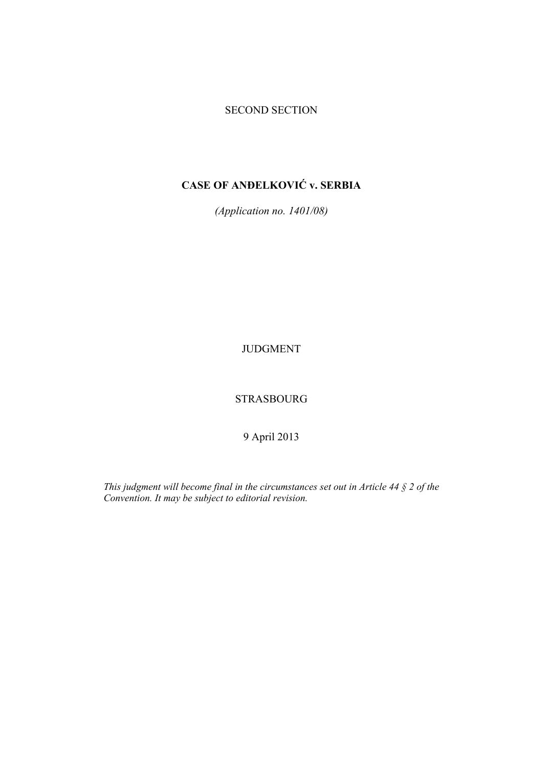## SECOND SECTION

# **CASE OF ANĐELKOVIĆ v. SERBIA**

*(Application no. 1401/08)* 

JUDGMENT

STRASBOURG

9 April 2013

*This judgment will become final in the circumstances set out in Article 44 § 2 of the Convention. It may be subject to editorial revision.*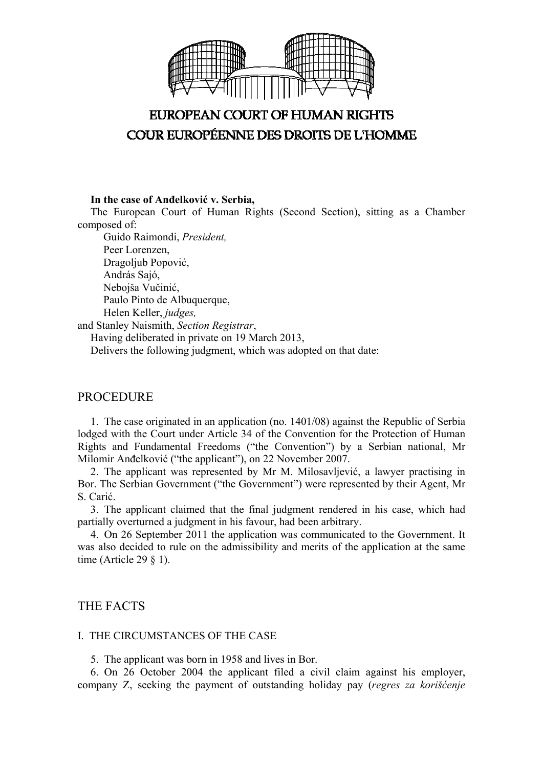

# **EUROPEAN COURT OF HUMAN RIGHTS** COUR EUROPÉENNE DES DROITS DE L'HOMME

**In the case of Anđelković v. Serbia,**

The European Court of Human Rights (Second Section), sitting as a Chamber composed of:

 Guido Raimondi, *President,*  Peer Lorenzen, Dragoljub Popović, András Sajó, Nebojša Vučinić, Paulo Pinto de Albuquerque, Helen Keller, *judges,*

and Stanley Naismith, *Section Registrar*,

Having deliberated in private on 19 March 2013, Delivers the following judgment, which was adopted on that date:

## PROCEDURE

1. The case originated in an application (no. 1401/08) against the Republic of Serbia lodged with the Court under Article 34 of the Convention for the Protection of Human Rights and Fundamental Freedoms ("the Convention") by a Serbian national, Mr Milomir Anđelković ("the applicant"), on 22 November 2007.

2. The applicant was represented by Mr M. Milosavljević, a lawyer practising in Bor. The Serbian Government ("the Government") were represented by their Agent, Mr S. Carić.

3. The applicant claimed that the final judgment rendered in his case, which had partially overturned a judgment in his favour, had been arbitrary.

4. On 26 September 2011 the application was communicated to the Government. It was also decided to rule on the admissibility and merits of the application at the same time (Article 29  $\S$  1).

## THE FACTS

#### I. THE CIRCUMSTANCES OF THE CASE

5. The applicant was born in 1958 and lives in Bor.

6. On 26 October 2004 the applicant filed a civil claim against his employer, company Z, seeking the payment of outstanding holiday pay (*regres za korišćenje*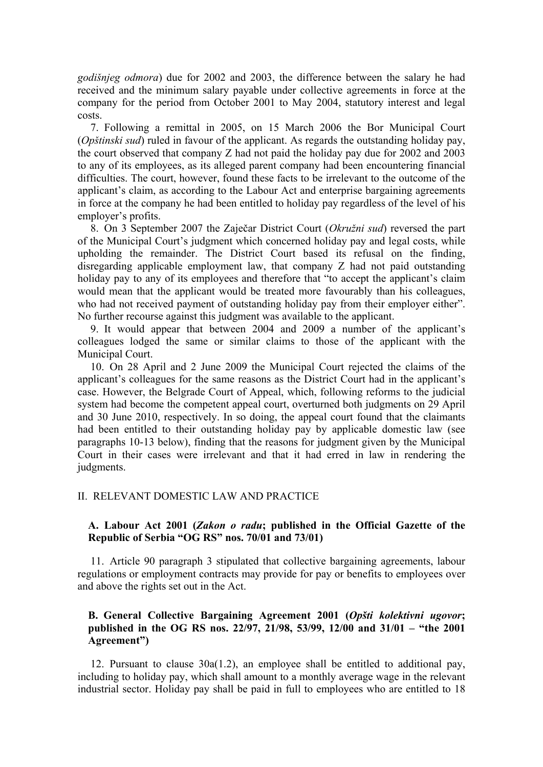*godišnjeg odmora*) due for 2002 and 2003, the difference between the salary he had received and the minimum salary payable under collective agreements in force at the company for the period from October 2001 to May 2004, statutory interest and legal costs.

7. Following a remittal in 2005, on 15 March 2006 the Bor Municipal Court (*Opštinski sud*) ruled in favour of the applicant. As regards the outstanding holiday pay, the court observed that company Z had not paid the holiday pay due for 2002 and 2003 to any of its employees, as its alleged parent company had been encountering financial difficulties. The court, however, found these facts to be irrelevant to the outcome of the applicant's claim, as according to the Labour Act and enterprise bargaining agreements in force at the company he had been entitled to holiday pay regardless of the level of his employer's profits.

8. On 3 September 2007 the Zaječar District Court (*Okružni sud*) reversed the part of the Municipal Court's judgment which concerned holiday pay and legal costs, while upholding the remainder. The District Court based its refusal on the finding, disregarding applicable employment law, that company Z had not paid outstanding holiday pay to any of its employees and therefore that "to accept the applicant's claim would mean that the applicant would be treated more favourably than his colleagues, who had not received payment of outstanding holiday pay from their employer either". No further recourse against this judgment was available to the applicant.

9. It would appear that between 2004 and 2009 a number of the applicant's colleagues lodged the same or similar claims to those of the applicant with the Municipal Court.

10. On 28 April and 2 June 2009 the Municipal Court rejected the claims of the applicant's colleagues for the same reasons as the District Court had in the applicant's case. However, the Belgrade Court of Appeal, which, following reforms to the judicial system had become the competent appeal court, overturned both judgments on 29 April and 30 June 2010, respectively. In so doing, the appeal court found that the claimants had been entitled to their outstanding holiday pay by applicable domestic law (see paragraphs 10-13 below), finding that the reasons for judgment given by the Municipal Court in their cases were irrelevant and that it had erred in law in rendering the judgments.

#### II. RELEVANT DOMESTIC LAW AND PRACTICE

#### **A. Labour Act 2001 (***Zakon o radu***; published in the Official Gazette of the Republic of Serbia "OG RS" nos. 70/01 and 73/01)**

11. Article 90 paragraph 3 stipulated that collective bargaining agreements, labour regulations or employment contracts may provide for pay or benefits to employees over and above the rights set out in the Act.

#### **B. General Collective Bargaining Agreement 2001 (***Opšti kolektivni ugovor***; published in the OG RS nos. 22/97, 21/98, 53/99, 12/00 and 31/01 – "the 2001 Agreement")**

12. Pursuant to clause 30a(1.2), an employee shall be entitled to additional pay, including to holiday pay, which shall amount to a monthly average wage in the relevant industrial sector. Holiday pay shall be paid in full to employees who are entitled to 18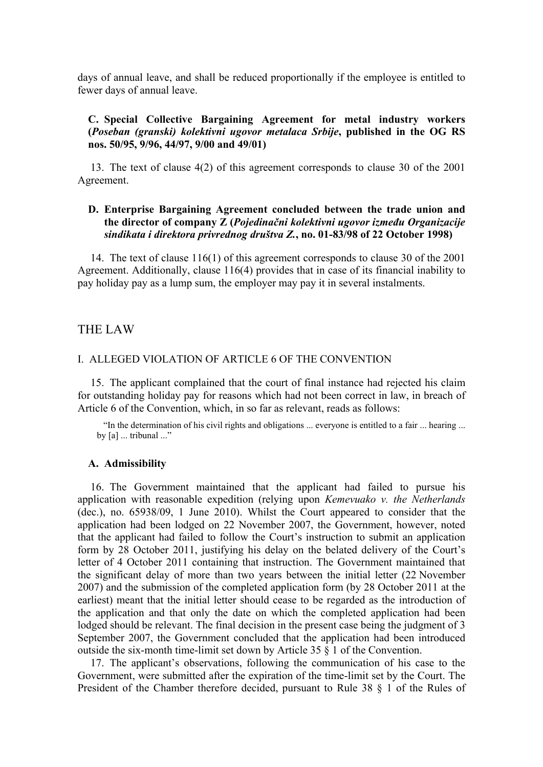days of annual leave, and shall be reduced proportionally if the employee is entitled to fewer days of annual leave.

#### **C. Special Collective Bargaining Agreement for metal industry workers (***Poseban (granski) kolektivni ugovor metalaca Srbije***, published in the OG RS nos. 50/95, 9/96, 44/97, 9/00 and 49/01)**

13. The text of clause 4(2) of this agreement corresponds to clause 30 of the 2001 Agreement.

#### **D. Enterprise Bargaining Agreement concluded between the trade union and the director of company Z (***Pojedinačni kolektivni ugovor između Organizacije sindikata i direktora privrednog društva Z.***, no. 01-83/98 of 22 October 1998)**

14. The text of clause 116(1) of this agreement corresponds to clause 30 of the 2001 Agreement. Additionally, clause 116(4) provides that in case of its financial inability to pay holiday pay as a lump sum, the employer may pay it in several instalments.

#### THE LAW

#### I. ALLEGED VIOLATION OF ARTICLE 6 OF THE CONVENTION

15. The applicant complained that the court of final instance had rejected his claim for outstanding holiday pay for reasons which had not been correct in law, in breach of Article 6 of the Convention, which, in so far as relevant, reads as follows:

"In the determination of his civil rights and obligations ... everyone is entitled to a fair ... hearing ... by [a] ... tribunal ..."

#### **A. Admissibility**

16. The Government maintained that the applicant had failed to pursue his application with reasonable expedition (relying upon *Kemevuako v. the Netherlands* (dec.), no. 65938/09, 1 June 2010). Whilst the Court appeared to consider that the application had been lodged on 22 November 2007, the Government, however, noted that the applicant had failed to follow the Court's instruction to submit an application form by 28 October 2011, justifying his delay on the belated delivery of the Court's letter of 4 October 2011 containing that instruction. The Government maintained that the significant delay of more than two years between the initial letter (22 November 2007) and the submission of the completed application form (by 28 October 2011 at the earliest) meant that the initial letter should cease to be regarded as the introduction of the application and that only the date on which the completed application had been lodged should be relevant. The final decision in the present case being the judgment of 3 September 2007, the Government concluded that the application had been introduced outside the six-month time-limit set down by Article 35 § 1 of the Convention.

17. The applicant's observations, following the communication of his case to the Government, were submitted after the expiration of the time-limit set by the Court. The President of the Chamber therefore decided, pursuant to Rule 38 § 1 of the Rules of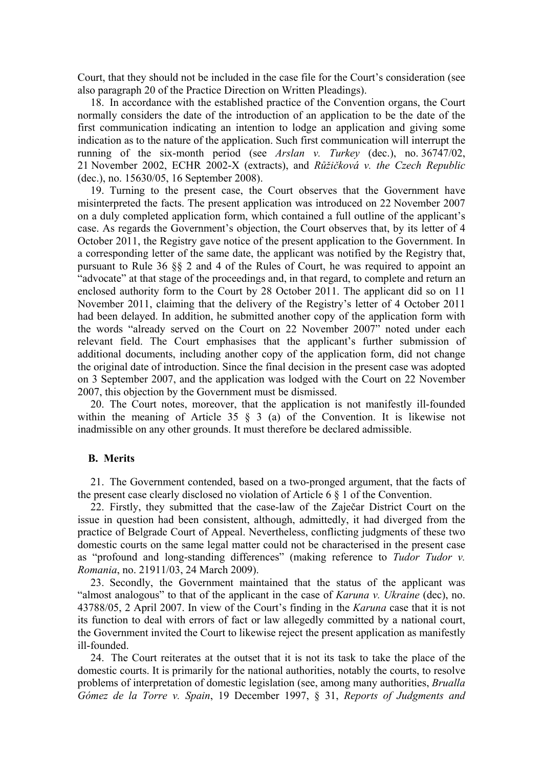Court, that they should not be included in the case file for the Court's consideration (see also paragraph 20 of the Practice Direction on Written Pleadings).

18. In accordance with the established practice of the Convention organs, the Court normally considers the date of the introduction of an application to be the date of the first communication indicating an intention to lodge an application and giving some indication as to the nature of the application. Such first communication will interrupt the running of the six-month period (see *Arslan v. Turkey* (dec.), no. 36747/02, 21 November 2002, ECHR 2002-X (extracts), and *Růžičková v. the Czech Republic* (dec.), no. 15630/05, 16 September 2008).

19. Turning to the present case, the Court observes that the Government have misinterpreted the facts. The present application was introduced on 22 November 2007 on a duly completed application form, which contained a full outline of the applicant's case. As regards the Government's objection, the Court observes that, by its letter of 4 October 2011, the Registry gave notice of the present application to the Government. In a corresponding letter of the same date, the applicant was notified by the Registry that, pursuant to Rule 36 §§ 2 and 4 of the Rules of Court, he was required to appoint an "advocate" at that stage of the proceedings and, in that regard, to complete and return an enclosed authority form to the Court by 28 October 2011. The applicant did so on 11 November 2011, claiming that the delivery of the Registry's letter of 4 October 2011 had been delayed. In addition, he submitted another copy of the application form with the words "already served on the Court on 22 November 2007" noted under each relevant field. The Court emphasises that the applicant's further submission of additional documents, including another copy of the application form, did not change the original date of introduction. Since the final decision in the present case was adopted on 3 September 2007, and the application was lodged with the Court on 22 November 2007, this objection by the Government must be dismissed.

20. The Court notes, moreover, that the application is not manifestly ill-founded within the meaning of Article 35 § 3 (a) of the Convention. It is likewise not inadmissible on any other grounds. It must therefore be declared admissible.

#### **B. Merits**

21. The Government contended, based on a two-pronged argument, that the facts of the present case clearly disclosed no violation of Article 6 § 1 of the Convention.

22. Firstly, they submitted that the case-law of the Zaječar District Court on the issue in question had been consistent, although, admittedly, it had diverged from the practice of Belgrade Court of Appeal. Nevertheless, conflicting judgments of these two domestic courts on the same legal matter could not be characterised in the present case as "profound and long-standing differences" (making reference to *Tudor Tudor v. Romania*, no. 21911/03, 24 March 2009).

23. Secondly, the Government maintained that the status of the applicant was "almost analogous" to that of the applicant in the case of *Karuna v. Ukraine* (dec), no. 43788/05, 2 April 2007. In view of the Court's finding in the *Karuna* case that it is not its function to deal with errors of fact or law allegedly committed by a national court, the Government invited the Court to likewise reject the present application as manifestly ill-founded.

24. The Court reiterates at the outset that it is not its task to take the place of the domestic courts. It is primarily for the national authorities, notably the courts, to resolve problems of interpretation of domestic legislation (see, among many authorities, *Brualla Gómez de la Torre v. Spain*, 19 December 1997, § 31, *Reports of Judgments and*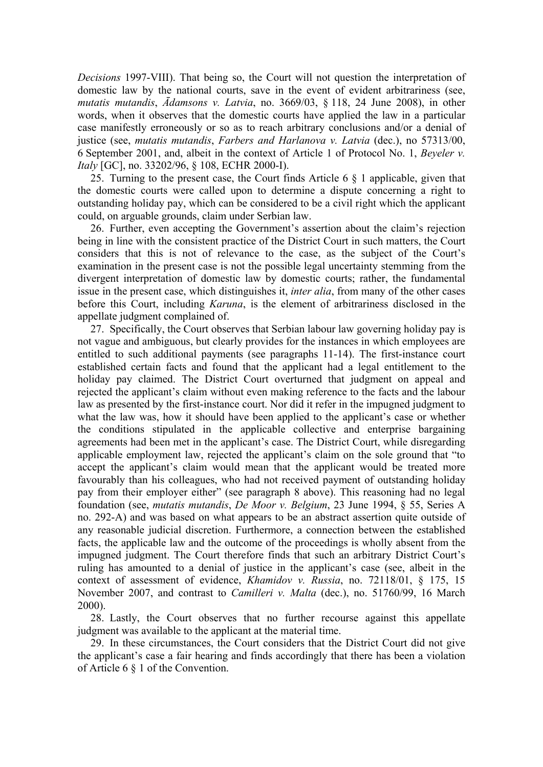*Decisions* 1997-VIII). That being so, the Court will not question the interpretation of domestic law by the national courts, save in the event of evident arbitrariness (see, *mutatis mutandis*, *Ādamsons v. Latvia*, no. 3669/03, § 118, 24 June 2008), in other words, when it observes that the domestic courts have applied the law in a particular case manifestly erroneously or so as to reach arbitrary conclusions and/or a denial of justice (see, *mutatis mutandis*, *Farbers and Harlanova v. Latvia* (dec.), no 57313/00, 6 September 2001, and, albeit in the context of Article 1 of Protocol No. 1, *Beyeler v. Italy* [GC], no. 33202/96, § 108, ECHR 2000-I).

25. Turning to the present case, the Court finds Article 6 § 1 applicable, given that the domestic courts were called upon to determine a dispute concerning a right to outstanding holiday pay, which can be considered to be a civil right which the applicant could, on arguable grounds, claim under Serbian law.

26. Further, even accepting the Government's assertion about the claim's rejection being in line with the consistent practice of the District Court in such matters, the Court considers that this is not of relevance to the case, as the subject of the Court's examination in the present case is not the possible legal uncertainty stemming from the divergent interpretation of domestic law by domestic courts; rather, the fundamental issue in the present case, which distinguishes it, *inter alia*, from many of the other cases before this Court, including *Karuna*, is the element of arbitrariness disclosed in the appellate judgment complained of.

27. Specifically, the Court observes that Serbian labour law governing holiday pay is not vague and ambiguous, but clearly provides for the instances in which employees are entitled to such additional payments (see paragraphs 11-14). The first-instance court established certain facts and found that the applicant had a legal entitlement to the holiday pay claimed. The District Court overturned that judgment on appeal and rejected the applicant's claim without even making reference to the facts and the labour law as presented by the first-instance court. Nor did it refer in the impugned judgment to what the law was, how it should have been applied to the applicant's case or whether the conditions stipulated in the applicable collective and enterprise bargaining agreements had been met in the applicant's case. The District Court, while disregarding applicable employment law, rejected the applicant's claim on the sole ground that "to accept the applicant's claim would mean that the applicant would be treated more favourably than his colleagues, who had not received payment of outstanding holiday pay from their employer either" (see paragraph 8 above). This reasoning had no legal foundation (see, *mutatis mutandis*, *De Moor v. Belgium*, 23 June 1994, § 55, Series A no. 292-A) and was based on what appears to be an abstract assertion quite outside of any reasonable judicial discretion. Furthermore, a connection between the established facts, the applicable law and the outcome of the proceedings is wholly absent from the impugned judgment. The Court therefore finds that such an arbitrary District Court's ruling has amounted to a denial of justice in the applicant's case (see, albeit in the context of assessment of evidence, *Khamidov v. Russia*, no. 72118/01, § 175, 15 November 2007, and contrast to *Camilleri v. Malta* (dec.), no. 51760/99, 16 March 2000).

28. Lastly, the Court observes that no further recourse against this appellate judgment was available to the applicant at the material time.

29. In these circumstances, the Court considers that the District Court did not give the applicant's case a fair hearing and finds accordingly that there has been a violation of Article 6 § 1 of the Convention.